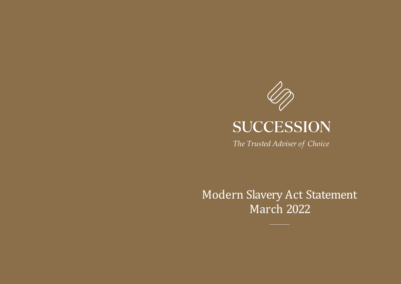

*The Trusted Adviser of Choice*

Modern Slavery Act Statement March 2022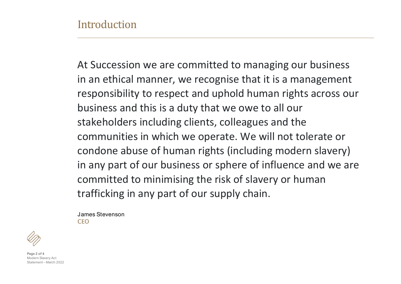At Succession we are committed to managing our business in an ethical manner, we recognise that it is a management responsibility to respect and uphold human rights across our business and this is a duty that we owe to all our stakeholders including clients, colleagues and the communities in which we operate. We will not tolerate or condone abuse of human rights (including modern slavery) in any part of our business or sphere of influence and we are committed to minimising the risk of slavery or human trafficking in any part of our supply chain.

James Stevenson **CEO** 



**Page 2 of 4** Modern Slavery Act Statement – March 2022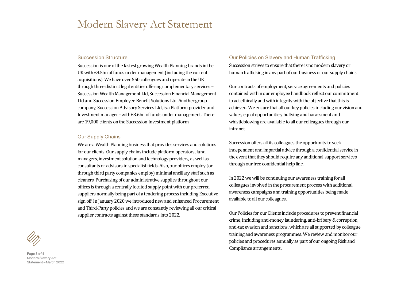# Succession Structure

Succession is one of the fastest growing Wealth Planning brands in the UK with £9.5bn of funds under management (including the current acquisitions). We have over 550 colleagues and operate in the UK through three distinct legal entities offering complementary services – Succession Wealth Management Ltd, Succession Financial Management Ltd and Succession Employee Benefit Solutions Ltd. Another group company, Succession Advisory Services Ltd, is a Platform provider and Investment manager –with £3.6bn of funds under management. There are 19,000 clients on the Succession Investment platform.

# Our Supply Chains

We are a Wealth Planning business that provides services and solutions for our clients. Our supply chains include platform operators, fund managers, investment solution and technology providers, as well as consultants or advisors in specialist fields. Also, our offices employ (or through third party companies employ) minimal ancillary staff such as cleaners. Purchasing of our administrative supplies throughout our offices is through a centrally located supply point with our preferred suppliers normally being part of a tendering process including Executive sign off. In January 2020 we introduced new and enhanced Procurement and Third-Party policies and we are constantly reviewing all our critical supplier contracts against these standards into 2022.

#### Our Policies on Slavery and Human Trafficking

Succession strives to ensure that there is no modern slavery or human trafficking in any part of our business or our supply chains.

Our contracts of employment, service agreements and policies contained within our employee handbook reflect our commitment to act ethically and with integrity with the objective that this is achieved. We ensure that all our key policies including our vision and values, equal opportunities, bullying and harassment and whistleblowing are available to all our colleagues through our intranet.

Succession offers all its colleagues the opportunity to seek independent and impartial advice through a confidential service in the event that they should require any additional support services through our free confidential help line.

In 2022 we will be continuing our awareness training for all colleagues involved in the procurement process with additional awareness campaigns and training opportunities being made available to all our colleagues.

Our Policies for our Clients include procedures to prevent financial crime, including anti-money laundering, anti-bribery & corruption, anti-tax evasion and sanctions, which are all supported by colleague training and awareness programmes. We review and monitor our policies and procedures annually as part of our ongoing Risk and Compliance arrangements.



**Page 3 of 4** Modern Slavery Act Statement – March 2022